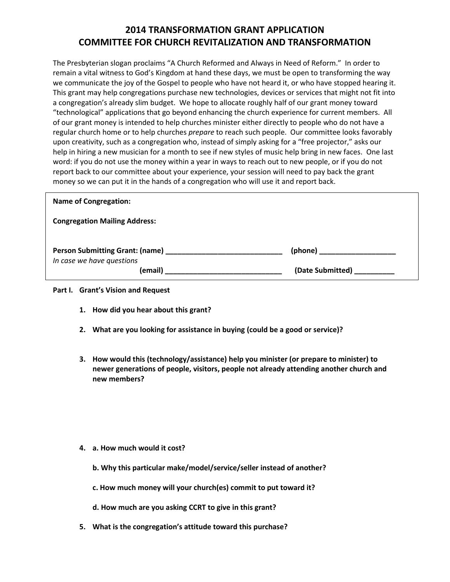## **2014 TRANSFORMATION GRANT APPLICATION COMMITTEE FOR CHURCH REVITALIZATION AND TRANSFORMATION**

The Presbyterian slogan proclaims "A Church Reformed and Always in Need of Reform." In order to remain a vital witness to God's Kingdom at hand these days, we must be open to transforming the way we communicate the joy of the Gospel to people who have not heard it, or who have stopped hearing it. This grant may help congregations purchase new technologies, devices or services that might not fit into a congregation's already slim budget. We hope to allocate roughly half of our grant money toward "technological" applications that go beyond enhancing the church experience for current members. All of our grant money is intended to help churches minister either directly to people who do not have a regular church home or to help churches *prepare* to reach such people. Our committee looks favorably upon creativity, such as a congregation who, instead of simply asking for a "free projector," asks our help in hiring a new musician for a month to see if new styles of music help bring in new faces. One last word: if you do not use the money within a year in ways to reach out to new people, or if you do not report back to our committee about your experience, your session will need to pay back the grant money so we can put it in the hands of a congregation who will use it and report back.

| <b>Name of Congregation:</b>         |                  |
|--------------------------------------|------------------|
| <b>Congregation Mailing Address:</b> |                  |
| In case we have questions            |                  |
| (email)                              | (Date Submitted) |

## **Part I. Grant's Vision and Request**

- **1. How did you hear about this grant?**
- **2. What are you looking for assistance in buying (could be a good or service)?**
- **3. How would this (technology/assistance) help you minister (or prepare to minister) to newer generations of people, visitors, people not already attending another church and new members?**

- **4. a. How much would it cost?** 
	- **b. Why this particular make/model/service/seller instead of another?**
	- **c. How much money will your church(es) commit to put toward it?**
	- **d. How much are you asking CCRT to give in this grant?**
- **5. What is the congregation's attitude toward this purchase?**